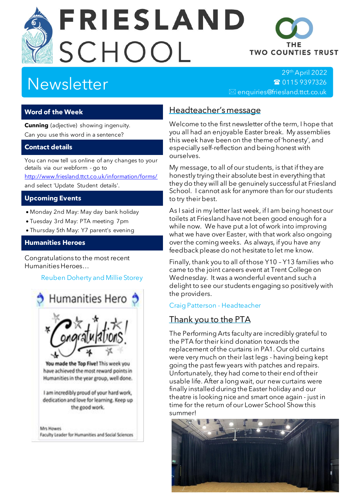# **FRIESLAND** SCHOOL



29th April 2022 ■ [0115 9397326](tel:+44-115-9397326)  $\boxtimes$  enquiries@friesland.ttct.co.uk

THF **TWO COUNTIES TRUST** 

## **Word of the Week**

**Cunning** (adjective) showing ingenuity. Can you use this word in a sentence?

## **Contact details**

You can now tell us online of any changes to your details via our webform - go to <http://www.friesland.ttct.co.uk/information/forms/>

and select 'Update Student details'.

#### **Upcoming Events**

- Monday 2nd May: May day bank holiday
- Tuesday 3rd May: PTA meeting 7pm
- Thursday 5th May: Y7 parent's evening

#### **Humanities Heroes**

Congratulations to the most recent Humanities Heroes…

## Reuben Doherty and Millie Storey



You made the Top Five! This week you have achieved the most reward points in Humanities in the year group, well done.

I am incredibly proud of your hard work, dedication and love for learning. Keep up the good work.

Mrs Howes Faculty Leader for Humanities and Social Sciences

## Headteacher's message

Welcome to the first newsletter of the term, I hope that you all had an enjoyable Easter break. My assemblies this week have been on the theme of 'honesty', and especially self-reflection and being honest with ourselves.

My message, to all of our students, is that if they are honestly trying their absolute best in everything that they do they will all be genuinely successful at Friesland School. I cannot ask for anymore than for our students to try their best.

As I said in my letter last week, if I am being honest our toilets at Friesland have not been good enough for a while now. We have put a lot of work into improving what we have over Easter, with that work also ongoing over the coming weeks. As always, if you have any feedback please do not hesitate to let me know.

Finally, thank you to all of those Y10 – Y13 families who came to the joint careers event at Trent College on Wednesday. It was a wonderful event and such a delight to see our students engaging so positively with the providers.

#### Craig Patterson - Headteacher

## Thank you to the PTA

The Performing Arts faculty are incredibly grateful to the PTA for their kind donation towards the replacement of the curtains in PA1. Our old curtains were very much on their last legs - having being kept going the past few years with patches and repairs. Unfortunately, they had come to their end of their usable life. After a long wait, our new curtains were finally installed during the Easter holiday and our theatre is looking nice and smart once again - just in time for the return of our Lower School Show this summer!

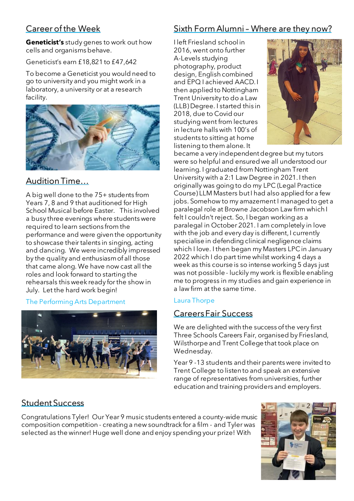# Career of the Week

**Geneticist's** study genes to work out how cells and organisms behave.

Geneticist's earn £18,821 to £47,642

To become a Geneticist you would need to go to university and you might work in a laboratory, a university or at a research facility.



## Audition Time…

A big well done to the 75+ students from Years 7, 8 and 9 that auditioned for High School Musical before Easter. This involved a busy three evenings where students were required to learn sections from the performance and were given the opportunity to showcase their talents in singing, acting and dancing. We were incredibly impressed by the quality and enthusiasm of all those that came along. We have now cast all the roles and look forward to starting the rehearsals this week ready for the show in July. Let the hard work begin!

## The Performing Arts Department



# Sixth Form Alumni – Where are they now?

I left Friesland school in 2016, went onto further A-Levels studying photography, product design, English combined and EPQ I achieved AACD. I then applied to Nottingham Trent University to do a Law (LLB) Degree. I started this in 2018, due to Covid our studying went from lectures in lecture halls with 100's of students to sitting at home listening to them alone. It



became a very independent degree but my tutors were so helpful and ensured we all understood our learning. I graduated from Nottingham Trent University with a 2:1 Law Degree in 2021. I then originally was going to do my LPC (Legal Practice Course) LLM Masters but I had also applied for a few jobs. Somehow to my amazement I managed to get a paralegal role at Browne Jacobson Law firm which I felt I couldn't reject. So, I began working as a paralegal in October 2021. I am completely in love with the job and every day is different, I currently specialise in defending clinical negligence claims which I love. I then began my Masters LPC in January 2022 which I do part time whilst working 4 days a week as this course is so intense working 5 days just was not possible - luckily my work is flexible enabling me to progress in my studies and gain experience in a law firm at the same time.

## Laura Thorpe

## Careers Fair Success

We are delighted with the success of the very first Three Schools Careers Fair, organised by Friesland, Wilsthorpe and Trent College that took place on Wednesday.

Year 9 -13 students and their parents were invited to Trent College to listen to and speak an extensive range of representatives from universities, further education and training providers and employers.

# Student Success

Congratulations Tyler! Our Year 9 music students entered a county-wide music composition competition - creating a new soundtrack for a film - and Tyler was selected as the winner! Huge well done and enjoy spending your prize! With

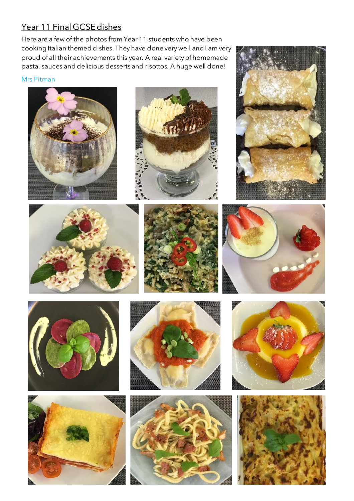# Year 11 Final GCSE dishes

Here are a few of the photos from Year 11 students who have been cooking Italian themed dishes. They have done very well and I am very proud of all their achievements this year. A real variety of homemade pasta, sauces and delicious desserts and risottos. A huge well done!

#### Mrs Pitman